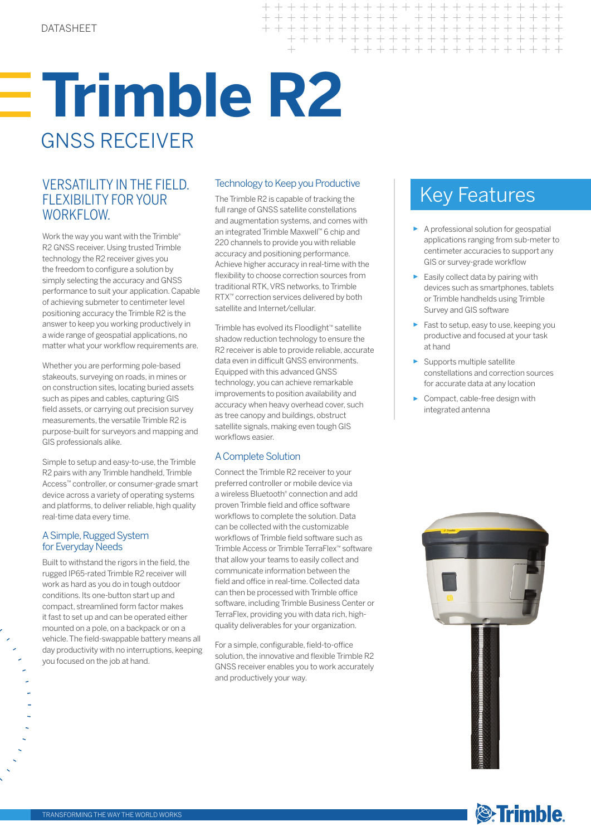# **Trimble R2** GNSS RECEIVER

### VERSATILITY IN THE FIELD. Technology to Keep you Productive<br>FLEXIBILITY FOR YOUR The Trimble R2 is capable of tracking the Key Features FLEXIBILITY FOR YOUR WORKFLOW.

Work the way you want with the Trimble® R2 GNSS receiver. Using trusted Trimble technology the R2 receiver gives you the freedom to configure a solution by simply selecting the accuracy and GNSS performance to suit your application. Capable of achieving submeter to centimeter level positioning accuracy the Trimble R2 is the answer to keep you working productively in a wide range of geospatial applications, no matter what your workflow requirements are.

Whether you are performing pole-based stakeouts, surveying on roads, in mines or on construction sites, locating buried assets such as pipes and cables, capturing GIS field assets, or carrying out precision survey measurements, the versatile Trimble R2 is purpose-built for surveyors and mapping and GIS professionals alike.

Simple to setup and easy-to-use, the Trimble R2 pairs with any Trimble handheld, Trimble Access™ controller, or consumer-grade smart device across a variety of operating systems and platforms, to deliver reliable, high quality real-time data every time.

#### A Simple, Rugged System for Everyday Needs

Built to withstand the rigors in the field, the rugged IP65-rated Trimble R2 receiver will work as hard as you do in tough outdoor conditions. Its one-button start up and compact, streamlined form factor makes it fast to set up and can be operated either mounted on a pole, on a backpack or on a vehicle. The field-swappable battery means all day productivity with no interruptions, keeping you focused on the job at hand.

#### Technology to Keep you Productive

 $++ +$ 

 $+ + + +$ 

 $++ +$ 

> + + + + + + + + + + + + + + + + + + + + + + + + + + + + + + + +

The Trimble R2 is capable of tracking the full range of GNSS satellite constellations and augmentation systems, and comes with an integrated Trimble Maxwell™ 6 chip and 220 channels to provide you with reliable accuracy and positioning performance. Achieve higher accuracy in real-time with the flexibility to choose correction sources from traditional RTK, VRS networks, to Trimble RTX™ correction services delivered by both satellite and Internet/cellular.

Trimble has evolved its Floodlight™ satellite shadow reduction technology to ensure the R2 receiver is able to provide reliable, accurate data even in difficult GNSS environments. Equipped with this advanced GNSS technology, you can achieve remarkable improvements to position availability and accuracy when heavy overhead cover, such as tree canopy and buildings, obstruct satellite signals, making even tough GIS workflows easier.

#### A Complete Solution

Connect the Trimble R2 receiver to your preferred controller or mobile device via a wireless Bluetooth® connection and add proven Trimble field and office software workflows to complete the solution. Data can be collected with the customizable workflows of Trimble field software such as Trimble Access or Trimble TerraFlex™ software that allow your teams to easily collect and communicate information between the field and office in real-time. Collected data can then be processed with Trimble office software, including Trimble Business Center or TerraFlex, providing you with data rich, highquality deliverables for your organization.

For a simple, configurable, field-to-office solution, the innovative and flexible Trimble R2 GNSS receiver enables you to work accurately and productively your way.

- ► A professional solution for geospatial applications ranging from sub-meter to centimeter accuracies to support any GIS or survey-grade workflow
- ► Easily collect data by pairing with devices such as smartphones, tablets or Trimble handhelds using Trimble Survey and GIS software
- ► Fast to setup, easy to use, keeping you productive and focused at your task at hand
- ► Supports multiple satellite constellations and correction sources for accurate data at any location
- Compact, cable-free design with integrated antenna